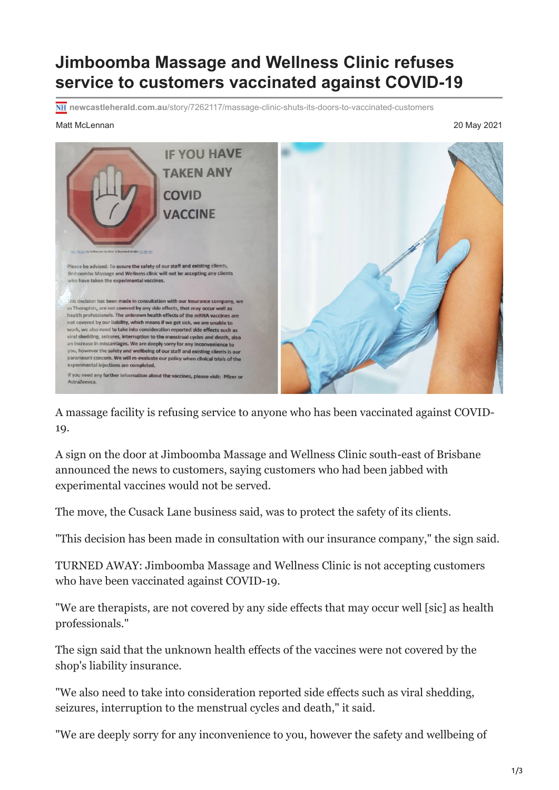## **Jimboomba Massage and Wellness Clinic refuses service to customers vaccinated against COVID-19**

**newcastleherald.com.au**[/story/7262117/massage-clinic-shuts-its-doors-to-vaccinated-customers](https://www.newcastleherald.com.au/story/7262117/massage-clinic-shuts-its-doors-to-vaccinated-customers/?cs=9676)

## Matt McLennan 20 May 2021



A massage facility is refusing service to anyone who has been vaccinated against COVID-19.

A sign on the door at Jimboomba Massage and Wellness Clinic south-east of Brisbane announced the news to customers, saying customers who had been jabbed with experimental vaccines would not be served.

The move, the Cusack Lane business said, was to protect the safety of its clients.

"This decision has been made in consultation with our insurance company," the sign said.

TURNED AWAY: Jimboomba Massage and Wellness Clinic is not accepting customers who have been vaccinated against COVID-19.

"We are therapists, are not covered by any side effects that may occur well [sic] as health professionals."

The sign said that the unknown health effects of the vaccines were not covered by the shop's liability insurance.

"We also need to take into consideration reported side effects such as viral shedding, seizures, interruption to the menstrual cycles and death," it said.

"We are deeply sorry for any inconvenience to you, however the safety and wellbeing of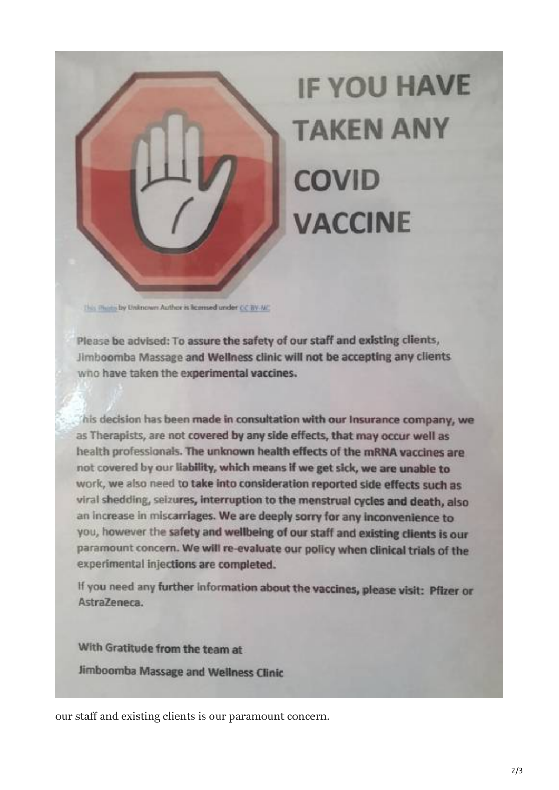## **IF YOU HAVE TAKEN ANY COVID VACCINE**

This Phone by Unknown Author is licensed under CC BY-NC

Please be advised: To assure the safety of our staff and existing clients, Jimboomba Massage and Wellness clinic will not be accepting any clients who have taken the experimental vaccines.

his decision has been made in consultation with our Insurance company, we as Therapists, are not covered by any side effects, that may occur well as health professionals. The unknown health effects of the mRNA vaccines are not covered by our liability, which means if we get sick, we are unable to work, we also need to take into consideration reported side effects such as viral shedding, seizures, interruption to the menstrual cycles and death, also an increase in miscarriages. We are deeply sorry for any inconvenience to you, however the safety and wellbeing of our staff and existing clients is our paramount concern. We will re-evaluate our policy when clinical trials of the experimental injections are completed.

If you need any further information about the vaccines, please visit: Pfizer or Astra7eneca

With Gratitude from the team at Jimboomba Massage and Wellness Clinic

our staff and existing clients is our paramount concern.